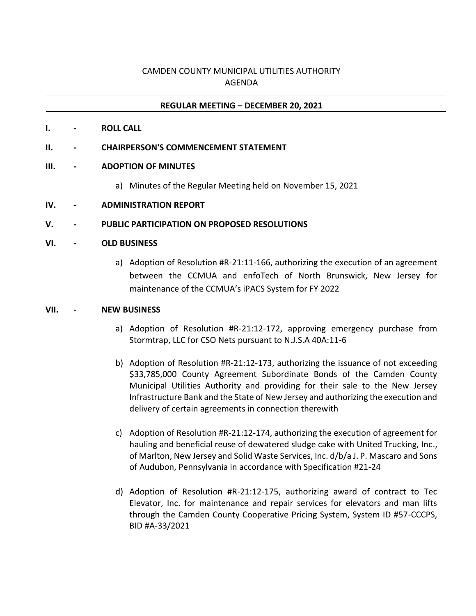# CAMDEN COUNTY MUNICIPAL UTILITIES AUTHORITY AGENDA

## **REGULAR MEETING – DECEMBER 20, 2021**

**I. - ROLL CALL**

#### **II. - CHAIRPERSON'S COMMENCEMENT STATEMENT**

### **III. - ADOPTION OF MINUTES**

- a) Minutes of the Regular Meeting held on November 15, 2021
- **IV. - ADMINISTRATION REPORT**

### **V. - PUBLIC PARTICIPATION ON PROPOSED RESOLUTIONS**

#### **VI. - OLD BUSINESS**

a) Adoption of Resolution #R-21:11-166, authorizing the execution of an agreement between the CCMUA and enfoTech of North Brunswick, New Jersey for maintenance of the CCMUA's iPACS System for FY 2022

#### **VII. - NEW BUSINESS**

- a) Adoption of Resolution #R-21:12-172, approving emergency purchase from Stormtrap, LLC for CSO Nets pursuant to N.J.S.A 40A:11-6
- b) Adoption of Resolution #R-21:12-173, authorizing the issuance of not exceeding \$33,785,000 County Agreement Subordinate Bonds of the Camden County Municipal Utilities Authority and providing for their sale to the New Jersey Infrastructure Bank and the State of New Jersey and authorizing the execution and delivery of certain agreements in connection therewith
- c) Adoption of Resolution #R-21:12-174, authorizing the execution of agreement for hauling and beneficial reuse of dewatered sludge cake with United Trucking, Inc., of Marlton, New Jersey and Solid Waste Services, Inc. d/b/a J. P. Mascaro and Sons of Audubon, Pennsylvania in accordance with Specification #21-24
- d) Adoption of Resolution #R-21:12-175, authorizing award of contract to Tec Elevator, Inc. for maintenance and repair services for elevators and man lifts through the Camden County Cooperative Pricing System, System ID #57-CCCPS, BID #A-33/2021